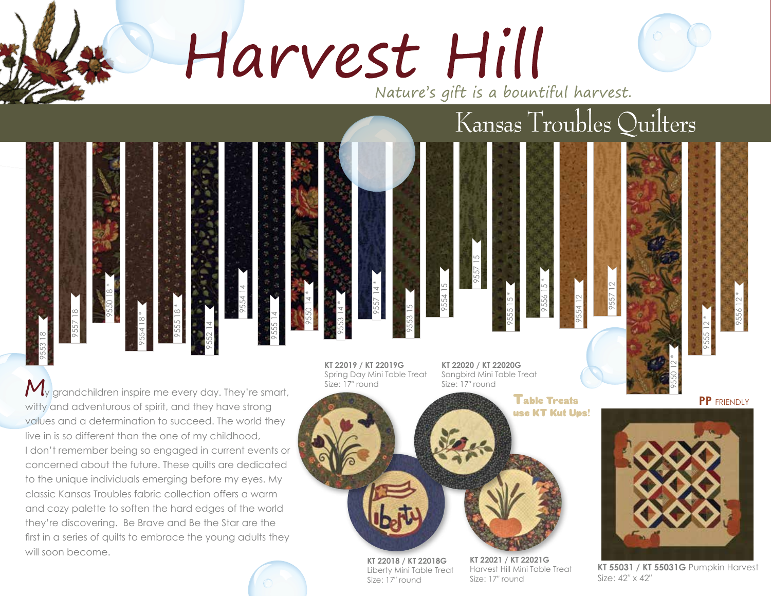Harvest Hill

Nature's gift is a bountiful harvest.

Kansas Troubles Quilters

## 9554 15 9557 15 9555 15 \* 9556 15 \* 9554 12 9557 12 9553 15 9553 18 9557 18 9550 18 \* 9554 18 \* 9555 18 \* 9552 14 9554 14 9555 14 9550 14 \* 9553 14 \* 9557 14 \*

 $\mathcal{M}_y$  grandchildren inspire me every day. They're smart, witty and adventurous of spirit, and they have strong values and a determination to succeed. The world they live in is so different than the one of my childhood, I don't remember being so engaged in current events or concerned about the future. These quilts are dedicated to the unique individuals emerging before my eyes. My classic Kansas Troubles fabric collection offers a warm and cozy palette to soften the hard edges of the world they're discovering. Be Brave and Be the Star are the first in a series of quilts to embrace the young adults they will soon become.

**KT 22019 / KT 22019G**  Spring Day Mini Table Treat Size: 17″ round

**KT 22020 / KT 22020G**  Songbird Mini Table Treat Size: 17″ round

> **Table Treats** use KT Kut Ups!

**PP** FRIENDLY

9556 12 \*

9555 12 \*



9550 12 \*

**KT 55031 / KT 55031G** Pumpkin Harvest Size: 42″ x 42″

**KT 22018 / KT 22018G**  Liberty Mini Table Treat Size: 17″ round

**KT 22021 / KT 22021G**  Harvest Hill Mini Table Treat Size: 17″ round